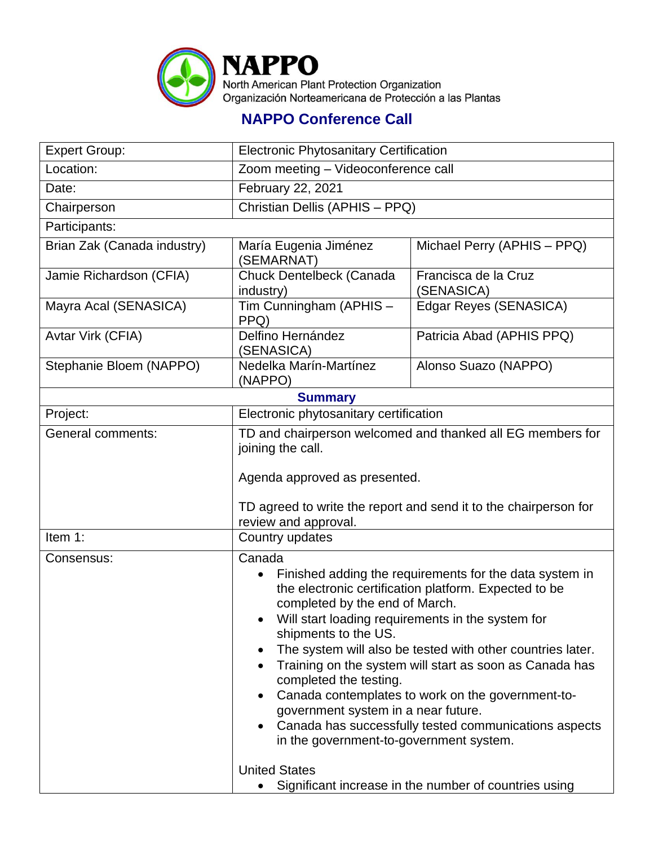

## **NAPPO Conference Call**

| <b>Expert Group:</b>                                                          | <b>Electronic Phytosanitary Certification</b>                                                                                                                                                                                                                                                                                                                                                                                                                                                                                                                                                               |                                    |  |  |
|-------------------------------------------------------------------------------|-------------------------------------------------------------------------------------------------------------------------------------------------------------------------------------------------------------------------------------------------------------------------------------------------------------------------------------------------------------------------------------------------------------------------------------------------------------------------------------------------------------------------------------------------------------------------------------------------------------|------------------------------------|--|--|
| Location:                                                                     | Zoom meeting - Videoconference call                                                                                                                                                                                                                                                                                                                                                                                                                                                                                                                                                                         |                                    |  |  |
| Date:                                                                         | February 22, 2021                                                                                                                                                                                                                                                                                                                                                                                                                                                                                                                                                                                           |                                    |  |  |
| Chairperson                                                                   | Christian Dellis (APHIS - PPQ)                                                                                                                                                                                                                                                                                                                                                                                                                                                                                                                                                                              |                                    |  |  |
| Participants:                                                                 |                                                                                                                                                                                                                                                                                                                                                                                                                                                                                                                                                                                                             |                                    |  |  |
| Brian Zak (Canada industry)                                                   | María Eugenia Jiménez<br>(SEMARNAT)                                                                                                                                                                                                                                                                                                                                                                                                                                                                                                                                                                         | Michael Perry (APHIS - PPQ)        |  |  |
| Jamie Richardson (CFIA)                                                       | Chuck Dentelbeck (Canada<br>industry)                                                                                                                                                                                                                                                                                                                                                                                                                                                                                                                                                                       | Francisca de la Cruz<br>(SENASICA) |  |  |
| Mayra Acal (SENASICA)                                                         | Tim Cunningham (APHIS -<br>PPQ)                                                                                                                                                                                                                                                                                                                                                                                                                                                                                                                                                                             | Edgar Reyes (SENASICA)             |  |  |
| Avtar Virk (CFIA)                                                             | Delfino Hernández<br>(SENASICA)                                                                                                                                                                                                                                                                                                                                                                                                                                                                                                                                                                             | Patricia Abad (APHIS PPQ)          |  |  |
| Stephanie Bloem (NAPPO)                                                       | Nedelka Marín-Martínez<br>(NAPPO)                                                                                                                                                                                                                                                                                                                                                                                                                                                                                                                                                                           | Alonso Suazo (NAPPO)               |  |  |
| <b>Summary</b>                                                                |                                                                                                                                                                                                                                                                                                                                                                                                                                                                                                                                                                                                             |                                    |  |  |
| Project:                                                                      | Electronic phytosanitary certification                                                                                                                                                                                                                                                                                                                                                                                                                                                                                                                                                                      |                                    |  |  |
| <b>General comments:</b>                                                      | TD and chairperson welcomed and thanked all EG members for<br>joining the call.<br>Agenda approved as presented.<br>TD agreed to write the report and send it to the chairperson for<br>review and approval.                                                                                                                                                                                                                                                                                                                                                                                                |                                    |  |  |
| Item 1:                                                                       | Country updates                                                                                                                                                                                                                                                                                                                                                                                                                                                                                                                                                                                             |                                    |  |  |
| Consensus:                                                                    | Canada<br>Finished adding the requirements for the data system in<br>$\bullet$<br>the electronic certification platform. Expected to be<br>completed by the end of March.<br>• Will start loading requirements in the system for<br>shipments to the US.<br>The system will also be tested with other countries later.<br>Training on the system will start as soon as Canada has<br>completed the testing.<br>Canada contemplates to work on the government-to-<br>government system in a near future.<br>Canada has successfully tested communications aspects<br>in the government-to-government system. |                                    |  |  |
| <b>United States</b><br>Significant increase in the number of countries using |                                                                                                                                                                                                                                                                                                                                                                                                                                                                                                                                                                                                             |                                    |  |  |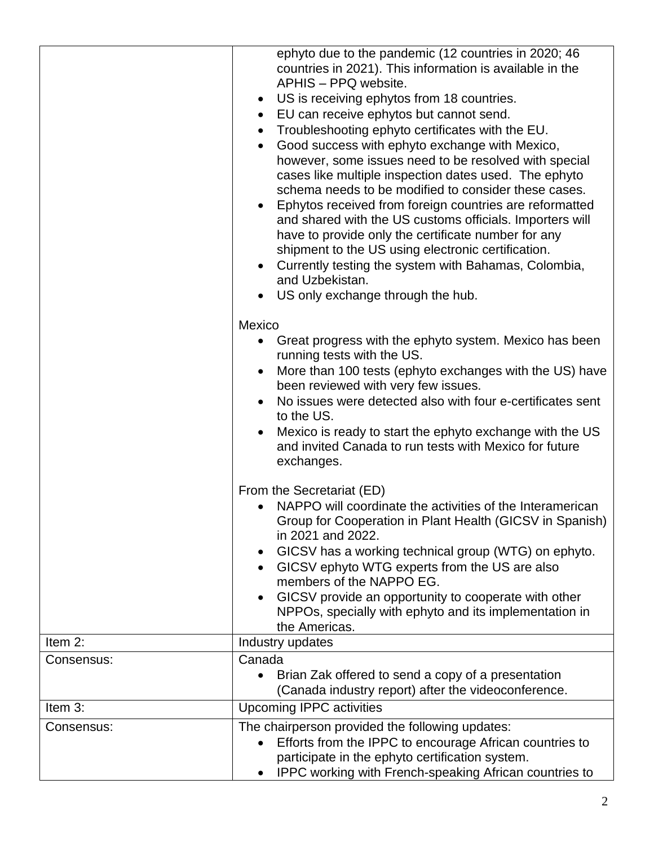|            | ephyto due to the pandemic (12 countries in 2020; 46<br>countries in 2021). This information is available in the<br>APHIS - PPQ website.<br>US is receiving ephytos from 18 countries.<br>$\bullet$<br>EU can receive ephytos but cannot send.<br>$\bullet$<br>Troubleshooting ephyto certificates with the EU.<br>Good success with ephyto exchange with Mexico,<br>$\bullet$<br>however, some issues need to be resolved with special<br>cases like multiple inspection dates used. The ephyto<br>schema needs to be modified to consider these cases.<br>Ephytos received from foreign countries are reformatted<br>and shared with the US customs officials. Importers will<br>have to provide only the certificate number for any<br>shipment to the US using electronic certification.<br>Currently testing the system with Bahamas, Colombia,<br>$\bullet$<br>and Uzbekistan.<br>US only exchange through the hub. |
|------------|---------------------------------------------------------------------------------------------------------------------------------------------------------------------------------------------------------------------------------------------------------------------------------------------------------------------------------------------------------------------------------------------------------------------------------------------------------------------------------------------------------------------------------------------------------------------------------------------------------------------------------------------------------------------------------------------------------------------------------------------------------------------------------------------------------------------------------------------------------------------------------------------------------------------------|
|            | Mexico<br>Great progress with the ephyto system. Mexico has been<br>running tests with the US.<br>More than 100 tests (ephyto exchanges with the US) have<br>been reviewed with very few issues.<br>No issues were detected also with four e-certificates sent<br>to the US.<br>Mexico is ready to start the ephyto exchange with the US<br>and invited Canada to run tests with Mexico for future<br>exchanges.                                                                                                                                                                                                                                                                                                                                                                                                                                                                                                          |
|            | From the Secretariat (ED)<br>NAPPO will coordinate the activities of the Interamerican<br>Group for Cooperation in Plant Health (GICSV in Spanish)<br>in 2021 and 2022.<br>GICSV has a working technical group (WTG) on ephyto.<br>GICSV ephyto WTG experts from the US are also<br>members of the NAPPO EG.<br>GICSV provide an opportunity to cooperate with other<br>NPPOs, specially with ephyto and its implementation in<br>the Americas.                                                                                                                                                                                                                                                                                                                                                                                                                                                                           |
| Item 2:    | Industry updates                                                                                                                                                                                                                                                                                                                                                                                                                                                                                                                                                                                                                                                                                                                                                                                                                                                                                                          |
| Consensus: | Canada<br>Brian Zak offered to send a copy of a presentation<br>$\bullet$<br>(Canada industry report) after the videoconference.                                                                                                                                                                                                                                                                                                                                                                                                                                                                                                                                                                                                                                                                                                                                                                                          |
| Item 3:    | <b>Upcoming IPPC activities</b>                                                                                                                                                                                                                                                                                                                                                                                                                                                                                                                                                                                                                                                                                                                                                                                                                                                                                           |
| Consensus: | The chairperson provided the following updates:<br>Efforts from the IPPC to encourage African countries to<br>participate in the ephyto certification system.<br>IPPC working with French-speaking African countries to                                                                                                                                                                                                                                                                                                                                                                                                                                                                                                                                                                                                                                                                                                   |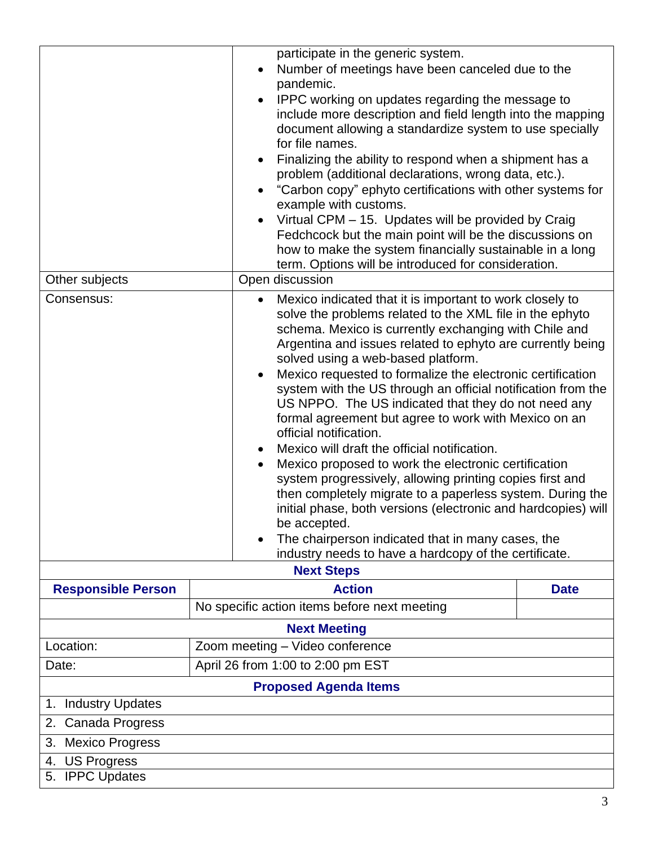|                               | pandemic.<br>for file names.<br>$\bullet$                                                          | participate in the generic system.<br>Number of meetings have been canceled due to the<br>IPPC working on updates regarding the message to<br>include more description and field length into the mapping<br>document allowing a standardize system to use specially<br>Finalizing the ability to respond when a shipment has a<br>problem (additional declarations, wrong data, etc.).<br>"Carbon copy" ephyto certifications with other systems for<br>example with customs.<br>Virtual CPM - 15. Updates will be provided by Craig<br>Fedchcock but the main point will be the discussions on<br>how to make the system financially sustainable in a long<br>term. Options will be introduced for consideration.                                                                                                                                                                                                                             |  |  |
|-------------------------------|----------------------------------------------------------------------------------------------------|------------------------------------------------------------------------------------------------------------------------------------------------------------------------------------------------------------------------------------------------------------------------------------------------------------------------------------------------------------------------------------------------------------------------------------------------------------------------------------------------------------------------------------------------------------------------------------------------------------------------------------------------------------------------------------------------------------------------------------------------------------------------------------------------------------------------------------------------------------------------------------------------------------------------------------------------|--|--|
|                               | Open discussion<br>Other subjects                                                                  |                                                                                                                                                                                                                                                                                                                                                                                                                                                                                                                                                                                                                                                                                                                                                                                                                                                                                                                                                |  |  |
| Consensus:                    | $\bullet$<br>$\bullet$<br>official notification.<br>$\bullet$<br>be accepted.<br><b>Next Steps</b> | Mexico indicated that it is important to work closely to<br>solve the problems related to the XML file in the ephyto<br>schema. Mexico is currently exchanging with Chile and<br>Argentina and issues related to ephyto are currently being<br>solved using a web-based platform.<br>Mexico requested to formalize the electronic certification<br>system with the US through an official notification from the<br>US NPPO. The US indicated that they do not need any<br>formal agreement but agree to work with Mexico on an<br>Mexico will draft the official notification.<br>Mexico proposed to work the electronic certification<br>system progressively, allowing printing copies first and<br>then completely migrate to a paperless system. During the<br>initial phase, both versions (electronic and hardcopies) will<br>The chairperson indicated that in many cases, the<br>industry needs to have a hardcopy of the certificate. |  |  |
| <b>Responsible Person</b>     | <b>Action</b>                                                                                      | <b>Date</b>                                                                                                                                                                                                                                                                                                                                                                                                                                                                                                                                                                                                                                                                                                                                                                                                                                                                                                                                    |  |  |
|                               | No specific action items before next meeting                                                       |                                                                                                                                                                                                                                                                                                                                                                                                                                                                                                                                                                                                                                                                                                                                                                                                                                                                                                                                                |  |  |
| <b>Next Meeting</b>           |                                                                                                    |                                                                                                                                                                                                                                                                                                                                                                                                                                                                                                                                                                                                                                                                                                                                                                                                                                                                                                                                                |  |  |
| Location:                     | Zoom meeting - Video conference                                                                    |                                                                                                                                                                                                                                                                                                                                                                                                                                                                                                                                                                                                                                                                                                                                                                                                                                                                                                                                                |  |  |
| Date:                         | April 26 from 1:00 to 2:00 pm EST                                                                  |                                                                                                                                                                                                                                                                                                                                                                                                                                                                                                                                                                                                                                                                                                                                                                                                                                                                                                                                                |  |  |
| <b>Proposed Agenda Items</b>  |                                                                                                    |                                                                                                                                                                                                                                                                                                                                                                                                                                                                                                                                                                                                                                                                                                                                                                                                                                                                                                                                                |  |  |
| <b>Industry Updates</b><br>1. |                                                                                                    |                                                                                                                                                                                                                                                                                                                                                                                                                                                                                                                                                                                                                                                                                                                                                                                                                                                                                                                                                |  |  |
| Canada Progress<br>2.         |                                                                                                    |                                                                                                                                                                                                                                                                                                                                                                                                                                                                                                                                                                                                                                                                                                                                                                                                                                                                                                                                                |  |  |
| <b>Mexico Progress</b><br>3.  |                                                                                                    |                                                                                                                                                                                                                                                                                                                                                                                                                                                                                                                                                                                                                                                                                                                                                                                                                                                                                                                                                |  |  |
| <b>US Progress</b><br>4.      |                                                                                                    |                                                                                                                                                                                                                                                                                                                                                                                                                                                                                                                                                                                                                                                                                                                                                                                                                                                                                                                                                |  |  |
| 5. IPPC Updates               |                                                                                                    |                                                                                                                                                                                                                                                                                                                                                                                                                                                                                                                                                                                                                                                                                                                                                                                                                                                                                                                                                |  |  |